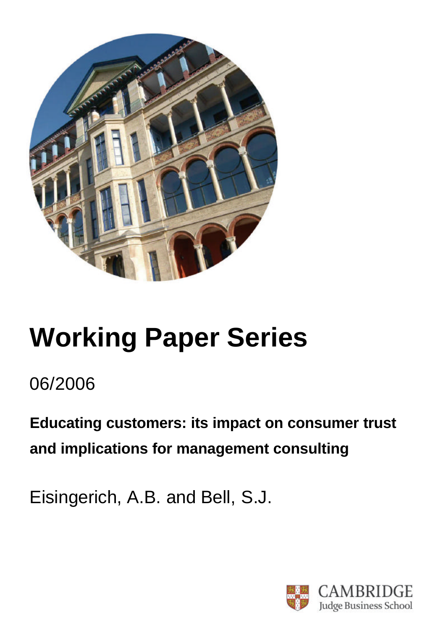

# **Working Paper Series**

06/2006

**Educating customers: its impact on consumer trust and implications for management consulting**

Eisingerich, A.B. and Bell, S.J.

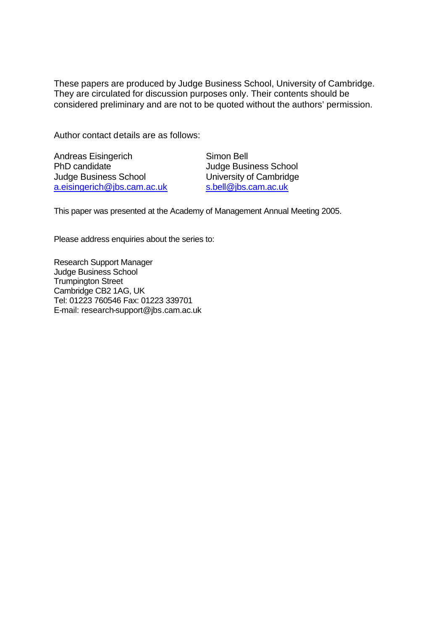These papers are produced by Judge Business School, University of Cambridge. They are circulated for discussion purposes only. Their contents should be considered preliminary and are not to be quoted without the authors' permission.

Author contact details are as follows:

| <b>Andreas Eisingerich</b>   |  |  |  |  |
|------------------------------|--|--|--|--|
| PhD candidate                |  |  |  |  |
| <b>Judge Business School</b> |  |  |  |  |
| a.eisingerich@jbs.cam.ac.uk  |  |  |  |  |

Simon Bell Judge Business School University of Cambridge s.bell@jbs.cam.ac.uk

This paper was presented at the Academy of Management Annual Meeting 2005.

Please address enquiries about the series to:

Research Support Manager Judge Business School Trumpington Street Cambridge CB2 1AG, UK Tel: 01223 760546 Fax: 01223 339701 E-mail: research-support@jbs.cam.ac.uk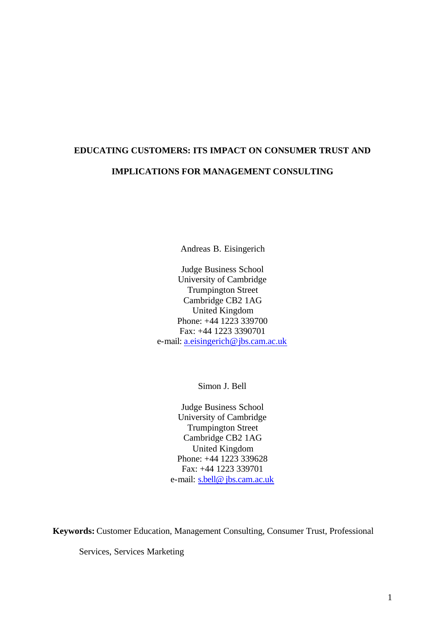# **EDUCATING CUSTOMERS: ITS IMPACT ON CONSUMER TRUST AND IMPLICATIONS FOR MANAGEMENT CONSULTING**

Andreas B. Eisingerich

Judge Business School University of Cambridge Trumpington Street Cambridge CB2 1AG United Kingdom Phone: +44 1223 339700 Fax: +44 1223 3390701 e-mail: a.eisingerich@jbs.cam.ac.uk

Simon J. Bell

Judge Business School University of Cambridge Trumpington Street Cambridge CB2 1AG United Kingdom Phone: +44 1223 339628 Fax: +44 1223 339701 e-mail: s.bell@ jbs.cam.ac.uk

**Keywords:** Customer Education, Management Consulting, Consumer Trust, Professional

Services, Services Marketing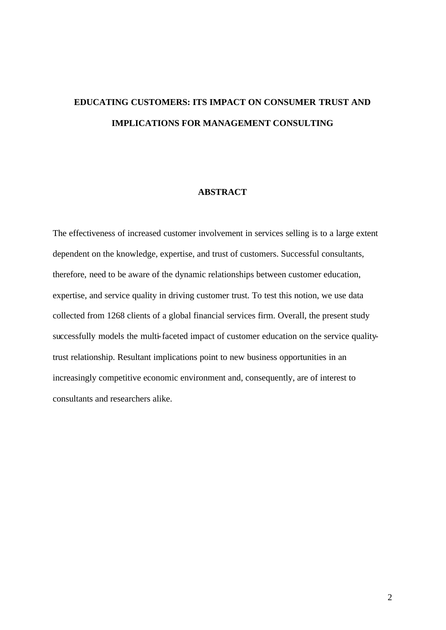# **EDUCATING CUSTOMERS: ITS IMPACT ON CONSUMER TRUST AND IMPLICATIONS FOR MANAGEMENT CONSULTING**

#### **ABSTRACT**

The effectiveness of increased customer involvement in services selling is to a large extent dependent on the knowledge, expertise, and trust of customers. Successful consultants, therefore, need to be aware of the dynamic relationships between customer education, expertise, and service quality in driving customer trust. To test this notion, we use data collected from 1268 clients of a global financial services firm. Overall, the present study successfully models the multi-faceted impact of customer education on the service qualitytrust relationship. Resultant implications point to new business opportunities in an increasingly competitive economic environment and, consequently, are of interest to consultants and researchers alike.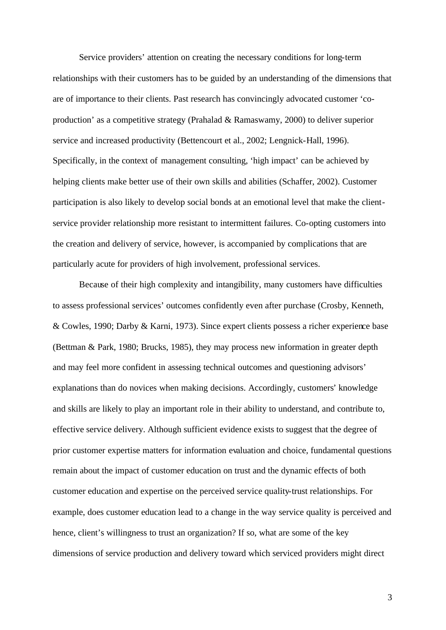Service providers' attention on creating the necessary conditions for long-term relationships with their customers has to be guided by an understanding of the dimensions that are of importance to their clients. Past research has convincingly advocated customer 'coproduction' as a competitive strategy (Prahalad & Ramaswamy, 2000) to deliver superior service and increased productivity (Bettencourt et al., 2002; Lengnick-Hall, 1996). Specifically, in the context of management consulting, 'high impact' can be achieved by helping clients make better use of their own skills and abilities (Schaffer, 2002). Customer participation is also likely to develop social bonds at an emotional level that make the clientservice provider relationship more resistant to intermittent failures. Co-opting customers into the creation and delivery of service, however, is accompanied by complications that are particularly acute for providers of high involvement, professional services.

Because of their high complexity and intangibility, many customers have difficulties to assess professional services' outcomes confidently even after purchase (Crosby, Kenneth, & Cowles, 1990; Darby & Karni, 1973). Since expert clients possess a richer experience base (Bettman & Park, 1980; Brucks, 1985), they may process new information in greater depth and may feel more confident in assessing technical outcomes and questioning advisors' explanations than do novices when making decisions. Accordingly, customers' knowledge and skills are likely to play an important role in their ability to understand, and contribute to, effective service delivery. Although sufficient evidence exists to suggest that the degree of prior customer expertise matters for information evaluation and choice, fundamental questions remain about the impact of customer education on trust and the dynamic effects of both customer education and expertise on the perceived service quality-trust relationships. For example, does customer education lead to a change in the way service quality is perceived and hence, client's willingness to trust an organization? If so, what are some of the key dimensions of service production and delivery toward which serviced providers might direct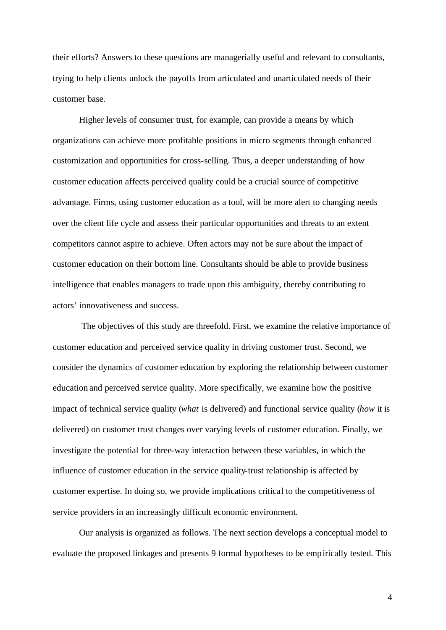their efforts? Answers to these questions are managerially useful and relevant to consultants, trying to help clients unlock the payoffs from articulated and unarticulated needs of their customer base.

Higher levels of consumer trust, for example, can provide a means by which organizations can achieve more profitable positions in micro segments through enhanced customization and opportunities for cross-selling. Thus, a deeper understanding of how customer education affects perceived quality could be a crucial source of competitive advantage. Firms, using customer education as a tool, will be more alert to changing needs over the client life cycle and assess their particular opportunities and threats to an extent competitors cannot aspire to achieve. Often actors may not be sure about the impact of customer education on their bottom line. Consultants should be able to provide business intelligence that enables managers to trade upon this ambiguity, thereby contributing to actors' innovativeness and success.

 The objectives of this study are threefold. First, we examine the relative importance of customer education and perceived service quality in driving customer trust. Second, we consider the dynamics of customer education by exploring the relationship between customer education and perceived service quality. More specifically, we examine how the positive impact of technical service quality (*what* is delivered) and functional service quality (*how* it is delivered) on customer trust changes over varying levels of customer education. Finally, we investigate the potential for three-way interaction between these variables, in which the influence of customer education in the service quality-trust relationship is affected by customer expertise. In doing so, we provide implications critical to the competitiveness of service providers in an increasingly difficult economic environment.

Our analysis is organized as follows. The next section develops a conceptual model to evaluate the proposed linkages and presents 9 formal hypotheses to be empirically tested. This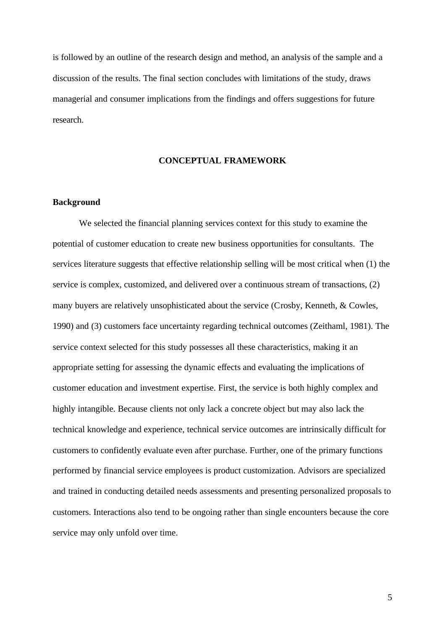is followed by an outline of the research design and method, an analysis of the sample and a discussion of the results. The final section concludes with limitations of the study, draws managerial and consumer implications from the findings and offers suggestions for future research.

#### **CONCEPTUAL FRAMEWORK**

#### **Background**

We selected the financial planning services context for this study to examine the potential of customer education to create new business opportunities for consultants. The services literature suggests that effective relationship selling will be most critical when (1) the service is complex, customized, and delivered over a continuous stream of transactions, (2) many buyers are relatively unsophisticated about the service (Crosby, Kenneth, & Cowles, 1990) and (3) customers face uncertainty regarding technical outcomes (Zeithaml, 1981). The service context selected for this study possesses all these characteristics, making it an appropriate setting for assessing the dynamic effects and evaluating the implications of customer education and investment expertise. First, the service is both highly complex and highly intangible. Because clients not only lack a concrete object but may also lack the technical knowledge and experience, technical service outcomes are intrinsically difficult for customers to confidently evaluate even after purchase. Further, one of the primary functions performed by financial service employees is product customization. Advisors are specialized and trained in conducting detailed needs assessments and presenting personalized proposals to customers. Interactions also tend to be ongoing rather than single encounters because the core service may only unfold over time.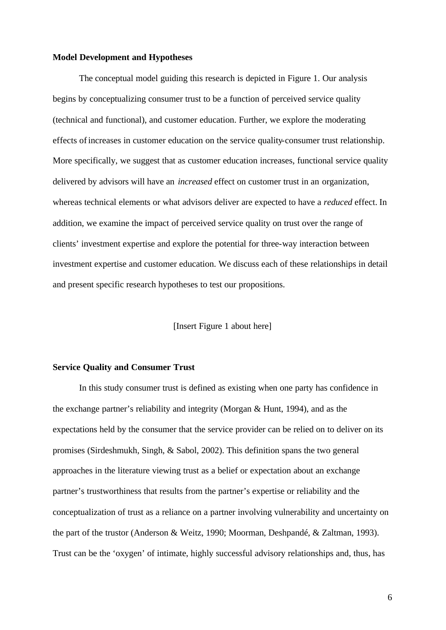#### **Model Development and Hypotheses**

The conceptual model guiding this research is depicted in Figure 1. Our analysis begins by conceptualizing consumer trust to be a function of perceived service quality (technical and functional), and customer education. Further, we explore the moderating effects of increases in customer education on the service quality-consumer trust relationship. More specifically, we suggest that as customer education increases, functional service quality delivered by advisors will have an *increased* effect on customer trust in an organization, whereas technical elements or what advisors deliver are expected to have a *reduced* effect. In addition, we examine the impact of perceived service quality on trust over the range of clients' investment expertise and explore the potential for three-way interaction between investment expertise and customer education. We discuss each of these relationships in detail and present specific research hypotheses to test our propositions.

[Insert Figure 1 about here]

#### **Service Quality and Consumer Trust**

In this study consumer trust is defined as existing when one party has confidence in the exchange partner's reliability and integrity (Morgan & Hunt, 1994), and as the expectations held by the consumer that the service provider can be relied on to deliver on its promises (Sirdeshmukh, Singh, & Sabol, 2002). This definition spans the two general approaches in the literature viewing trust as a belief or expectation about an exchange partner's trustworthiness that results from the partner's expertise or reliability and the conceptualization of trust as a reliance on a partner involving vulnerability and uncertainty on the part of the trustor (Anderson & Weitz, 1990; Moorman, Deshpandé, & Zaltman, 1993). Trust can be the 'oxygen' of intimate, highly successful advisory relationships and, thus, has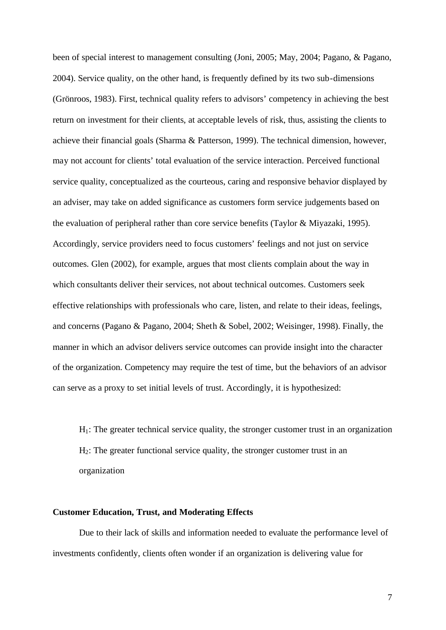been of special interest to management consulting (Joni, 2005; May, 2004; Pagano, & Pagano, 2004). Service quality, on the other hand, is frequently defined by its two sub-dimensions (Grönroos, 1983). First, technical quality refers to advisors' competency in achieving the best return on investment for their clients, at acceptable levels of risk, thus, assisting the clients to achieve their financial goals (Sharma & Patterson, 1999). The technical dimension, however, may not account for clients' total evaluation of the service interaction. Perceived functional service quality, conceptualized as the courteous, caring and responsive behavior displayed by an adviser, may take on added significance as customers form service judgements based on the evaluation of peripheral rather than core service benefits (Taylor & Miyazaki, 1995). Accordingly, service providers need to focus customers' feelings and not just on service outcomes. Glen (2002), for example, argues that most clients complain about the way in which consultants deliver their services, not about technical outcomes. Customers seek effective relationships with professionals who care, listen, and relate to their ideas, feelings, and concerns (Pagano & Pagano, 2004; Sheth & Sobel, 2002; Weisinger, 1998). Finally, the manner in which an advisor delivers service outcomes can provide insight into the character of the organization. Competency may require the test of time, but the behaviors of an advisor can serve as a proxy to set initial levels of trust. Accordingly, it is hypothesized:

 $H_1$ : The greater technical service quality, the stronger customer trust in an organization H2: The greater functional service quality, the stronger customer trust in an organization

#### **Customer Education, Trust, and Moderating Effects**

Due to their lack of skills and information needed to evaluate the performance level of investments confidently, clients often wonder if an organization is delivering value for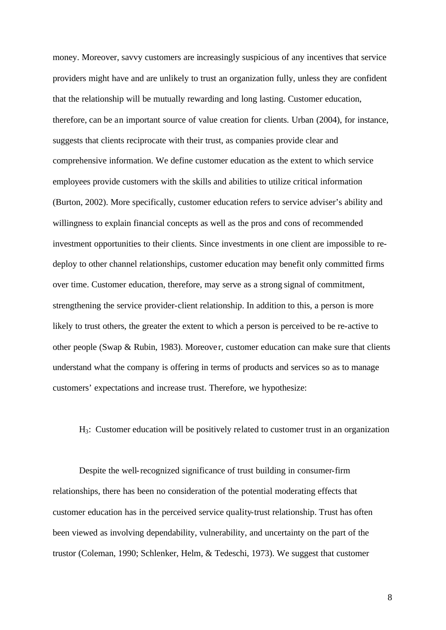money. Moreover, savvy customers are increasingly suspicious of any incentives that service providers might have and are unlikely to trust an organization fully, unless they are confident that the relationship will be mutually rewarding and long lasting. Customer education, therefore, can be an important source of value creation for clients. Urban (2004), for instance, suggests that clients reciprocate with their trust, as companies provide clear and comprehensive information. We define customer education as the extent to which service employees provide customers with the skills and abilities to utilize critical information (Burton, 2002). More specifically, customer education refers to service adviser's ability and willingness to explain financial concepts as well as the pros and cons of recommended investment opportunities to their clients. Since investments in one client are impossible to redeploy to other channel relationships, customer education may benefit only committed firms over time. Customer education, therefore, may serve as a strong signal of commitment, strengthening the service provider-client relationship. In addition to this, a person is more likely to trust others, the greater the extent to which a person is perceived to be re-active to other people (Swap  $\&$  Rubin, 1983). Moreover, customer education can make sure that clients understand what the company is offering in terms of products and services so as to manage customers' expectations and increase trust. Therefore, we hypothesize:

H3: Customer education will be positively related to customer trust in an organization

Despite the well-recognized significance of trust building in consumer-firm relationships, there has been no consideration of the potential moderating effects that customer education has in the perceived service quality-trust relationship. Trust has often been viewed as involving dependability, vulnerability, and uncertainty on the part of the trustor (Coleman, 1990; Schlenker, Helm, & Tedeschi, 1973). We suggest that customer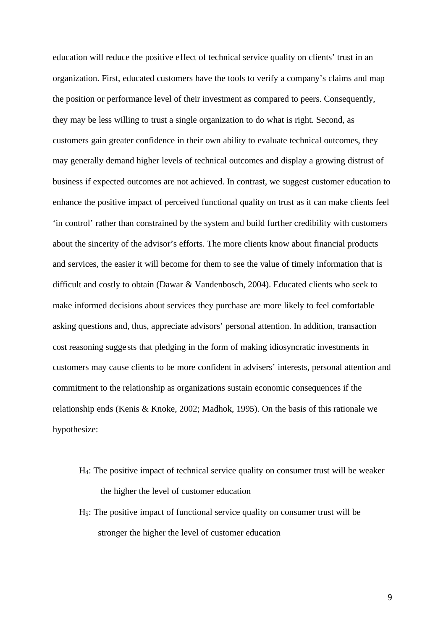education will reduce the positive effect of technical service quality on clients' trust in an organization. First, educated customers have the tools to verify a company's claims and map the position or performance level of their investment as compared to peers. Consequently, they may be less willing to trust a single organization to do what is right. Second, as customers gain greater confidence in their own ability to evaluate technical outcomes, they may generally demand higher levels of technical outcomes and display a growing distrust of business if expected outcomes are not achieved. In contrast, we suggest customer education to enhance the positive impact of perceived functional quality on trust as it can make clients feel 'in control' rather than constrained by the system and build further credibility with customers about the sincerity of the advisor's efforts. The more clients know about financial products and services, the easier it will become for them to see the value of timely information that is difficult and costly to obtain (Dawar & Vandenbosch, 2004). Educated clients who seek to make informed decisions about services they purchase are more likely to feel comfortable asking questions and, thus, appreciate advisors' personal attention. In addition, transaction cost reasoning sugge sts that pledging in the form of making idiosyncratic investments in customers may cause clients to be more confident in advisers' interests, personal attention and commitment to the relationship as organizations sustain economic consequences if the relationship ends (Kenis & Knoke, 2002; Madhok, 1995). On the basis of this rationale we hypothesize:

- H4: The positive impact of technical service quality on consumer trust will be weaker the higher the level of customer education
- $H<sub>5</sub>$ : The positive impact of functional service quality on consumer trust will be stronger the higher the level of customer education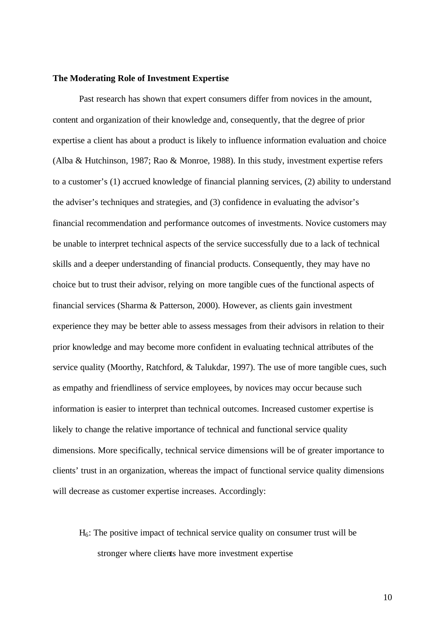#### **The Moderating Role of Investment Expertise**

Past research has shown that expert consumers differ from novices in the amount, content and organization of their knowledge and, consequently, that the degree of prior expertise a client has about a product is likely to influence information evaluation and choice (Alba & Hutchinson, 1987; Rao & Monroe, 1988). In this study, investment expertise refers to a customer's (1) accrued knowledge of financial planning services, (2) ability to understand the adviser's techniques and strategies, and (3) confidence in evaluating the advisor's financial recommendation and performance outcomes of investments. Novice customers may be unable to interpret technical aspects of the service successfully due to a lack of technical skills and a deeper understanding of financial products. Consequently, they may have no choice but to trust their advisor, relying on more tangible cues of the functional aspects of financial services (Sharma & Patterson, 2000). However, as clients gain investment experience they may be better able to assess messages from their advisors in relation to their prior knowledge and may become more confident in evaluating technical attributes of the service quality (Moorthy, Ratchford, & Talukdar, 1997). The use of more tangible cues, such as empathy and friendliness of service employees, by novices may occur because such information is easier to interpret than technical outcomes. Increased customer expertise is likely to change the relative importance of technical and functional service quality dimensions. More specifically, technical service dimensions will be of greater importance to clients' trust in an organization, whereas the impact of functional service quality dimensions will decrease as customer expertise increases. Accordingly:

# $H<sub>6</sub>$ : The positive impact of technical service quality on consumer trust will be stronger where clients have more investment expertise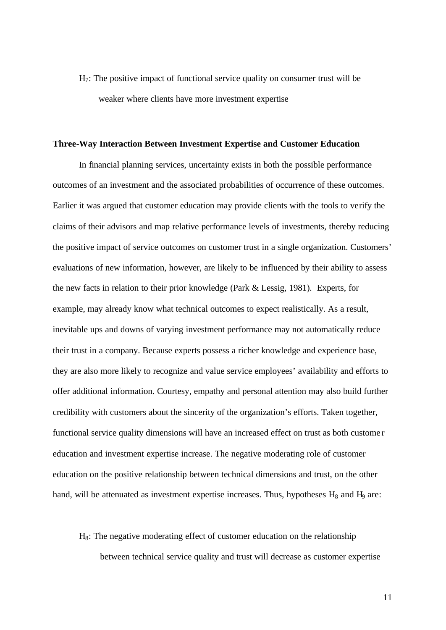H7: The positive impact of functional service quality on consumer trust will be weaker where clients have more investment expertise

#### **Three-Way Interaction Between Investment Expertise and Customer Education**

In financial planning services, uncertainty exists in both the possible performance outcomes of an investment and the associated probabilities of occurrence of these outcomes. Earlier it was argued that customer education may provide clients with the tools to verify the claims of their advisors and map relative performance levels of investments, thereby reducing the positive impact of service outcomes on customer trust in a single organization. Customers' evaluations of new information, however, are likely to be influenced by their ability to assess the new facts in relation to their prior knowledge (Park & Lessig, 1981). Experts, for example, may already know what technical outcomes to expect realistically. As a result, inevitable ups and downs of varying investment performance may not automatically reduce their trust in a company. Because experts possess a richer knowledge and experience base, they are also more likely to recognize and value service employees' availability and efforts to offer additional information. Courtesy, empathy and personal attention may also build further credibility with customers about the sincerity of the organization's efforts. Taken together, functional service quality dimensions will have an increased effect on trust as both custome r education and investment expertise increase. The negative moderating role of customer education on the positive relationship between technical dimensions and trust, on the other hand, will be attenuated as investment expertise increases. Thus, hypotheses  $H_8$  and  $H_9$  are:

# $H_8$ : The negative moderating effect of customer education on the relationship between technical service quality and trust will decrease as customer expertise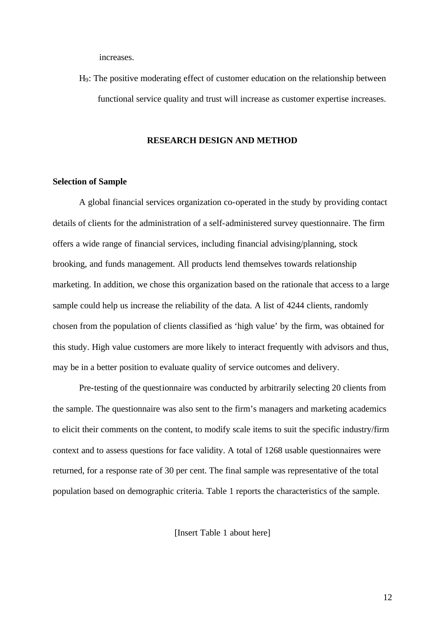increases.

H9: The positive moderating effect of customer education on the relationship between functional service quality and trust will increase as customer expertise increases.

#### **RESEARCH DESIGN AND METHOD**

#### **Selection of Sample**

A global financial services organization co-operated in the study by providing contact details of clients for the administration of a self-administered survey questionnaire. The firm offers a wide range of financial services, including financial advising/planning, stock brooking, and funds management. All products lend themselves towards relationship marketing. In addition, we chose this organization based on the rationale that access to a large sample could help us increase the reliability of the data. A list of 4244 clients, randomly chosen from the population of clients classified as 'high value' by the firm, was obtained for this study. High value customers are more likely to interact frequently with advisors and thus, may be in a better position to evaluate quality of service outcomes and delivery.

Pre-testing of the questionnaire was conducted by arbitrarily selecting 20 clients from the sample. The questionnaire was also sent to the firm's managers and marketing academics to elicit their comments on the content, to modify scale items to suit the specific industry/firm context and to assess questions for face validity. A total of 1268 usable questionnaires were returned, for a response rate of 30 per cent. The final sample was representative of the total population based on demographic criteria. Table 1 reports the characteristics of the sample.

[Insert Table 1 about here]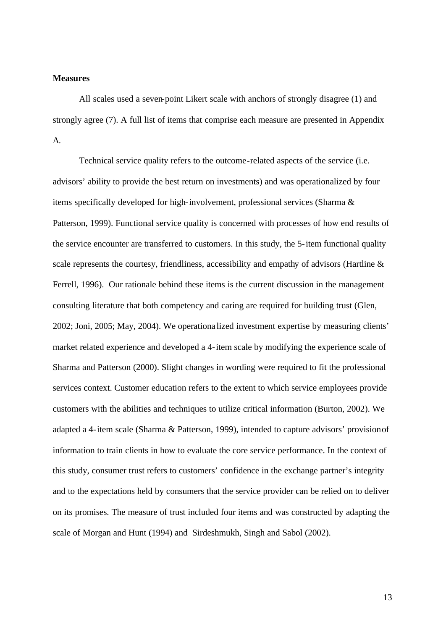#### **Measures**

All scales used a seven-point Likert scale with anchors of strongly disagree (1) and strongly agree (7). A full list of items that comprise each measure are presented in Appendix A.

Technical service quality refers to the outcome-related aspects of the service (i.e. advisors' ability to provide the best return on investments) and was operationalized by four items specifically developed for high-involvement, professional services (Sharma & Patterson, 1999). Functional service quality is concerned with processes of how end results of the service encounter are transferred to customers. In this study, the 5-item functional quality scale represents the courtesy, friendliness, accessibility and empathy of advisors (Hartline & Ferrell, 1996). Our rationale behind these items is the current discussion in the management consulting literature that both competency and caring are required for building trust (Glen, 2002; Joni, 2005; May, 2004). We operationa lized investment expertise by measuring clients' market related experience and developed a 4-item scale by modifying the experience scale of Sharma and Patterson (2000). Slight changes in wording were required to fit the professional services context. Customer education refers to the extent to which service employees provide customers with the abilities and techniques to utilize critical information (Burton, 2002). We adapted a 4-item scale (Sharma & Patterson, 1999), intended to capture advisors' provision of information to train clients in how to evaluate the core service performance. In the context of this study, consumer trust refers to customers' confidence in the exchange partner's integrity and to the expectations held by consumers that the service provider can be relied on to deliver on its promises. The measure of trust included four items and was constructed by adapting the scale of Morgan and Hunt (1994) and Sirdeshmukh, Singh and Sabol (2002).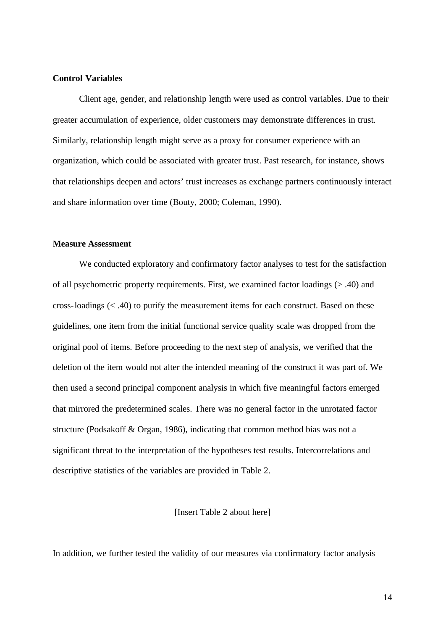#### **Control Variables**

Client age, gender, and relationship length were used as control variables. Due to their greater accumulation of experience, older customers may demonstrate differences in trust. Similarly, relationship length might serve as a proxy for consumer experience with an organization, which could be associated with greater trust. Past research, for instance, shows that relationships deepen and actors' trust increases as exchange partners continuously interact and share information over time (Bouty, 2000; Coleman, 1990).

#### **Measure Assessment**

We conducted exploratory and confirmatory factor analyses to test for the satisfaction of all psychometric property requirements. First, we examined factor loadings (> .40) and cross-loadings (< .40) to purify the measurement items for each construct. Based on these guidelines, one item from the initial functional service quality scale was dropped from the original pool of items. Before proceeding to the next step of analysis, we verified that the deletion of the item would not alter the intended meaning of the construct it was part of. We then used a second principal component analysis in which five meaningful factors emerged that mirrored the predetermined scales. There was no general factor in the unrotated factor structure (Podsakoff & Organ, 1986), indicating that common method bias was not a significant threat to the interpretation of the hypotheses test results. Intercorrelations and descriptive statistics of the variables are provided in Table 2.

[Insert Table 2 about here]

In addition, we further tested the validity of our measures via confirmatory factor analysis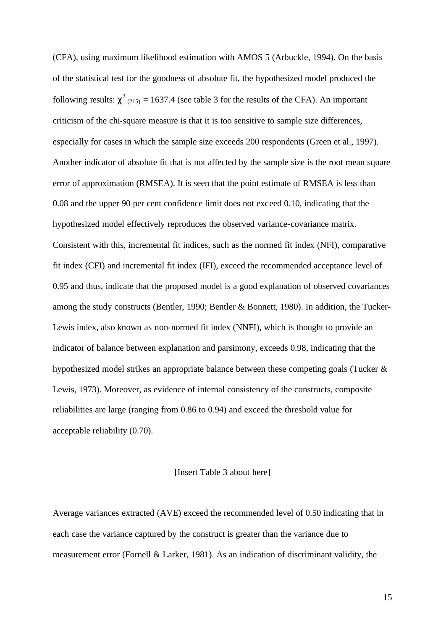(CFA), using maximum likelihood estimation with AMOS 5 (Arbuckle, 1994). On the basis of the statistical test for the goodness of absolute fit, the hypothesized model produced the following results:  $\chi^2$  (215) = 1637.4 (see table 3 for the results of the CFA). An important criticism of the chi-square measure is that it is too sensitive to sample size differences, especially for cases in which the sample size exceeds 200 respondents (Green et al., 1997). Another indicator of absolute fit that is not affected by the sample size is the root mean square error of approximation (RMSEA). It is seen that the point estimate of RMSEA is less than 0.08 and the upper 90 per cent confidence limit does not exceed 0.10, indicating that the hypothesized model effectively reproduces the observed variance-covariance matrix. Consistent with this, incremental fit indices, such as the normed fit index (NFI), comparative fit index (CFI) and incremental fit index (IFI), exceed the recommended acceptance level of 0.95 and thus, indicate that the proposed model is a good explanation of observed covariances among the study constructs (Bentler, 1990; Bentler & Bonnett, 1980). In addition, the Tucker-Lewis index, also known as non-normed fit index (NNFI), which is thought to provide an indicator of balance between explanation and parsimony, exceeds 0.98, indicating that the hypothesized model strikes an appropriate balance between these competing goals (Tucker & Lewis, 1973). Moreover, as evidence of internal consistency of the constructs, composite reliabilities are large (ranging from 0.86 to 0.94) and exceed the threshold value for acceptable reliability (0.70).

#### [Insert Table 3 about here]

Average variances extracted (AVE) exceed the recommended level of 0.50 indicating that in each case the variance captured by the construct is greater than the variance due to measurement error (Fornell & Larker, 1981). As an indication of discriminant validity, the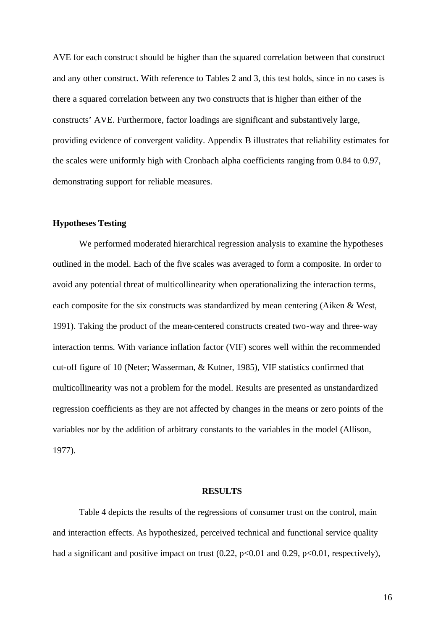AVE for each construct should be higher than the squared correlation between that construct and any other construct. With reference to Tables 2 and 3, this test holds, since in no cases is there a squared correlation between any two constructs that is higher than either of the constructs' AVE. Furthermore, factor loadings are significant and substantively large, providing evidence of convergent validity. Appendix B illustrates that reliability estimates for the scales were uniformly high with Cronbach alpha coefficients ranging from 0.84 to 0.97, demonstrating support for reliable measures.

#### **Hypotheses Testing**

We performed moderated hierarchical regression analysis to examine the hypotheses outlined in the model. Each of the five scales was averaged to form a composite. In order to avoid any potential threat of multicollinearity when operationalizing the interaction terms, each composite for the six constructs was standardized by mean centering (Aiken & West, 1991). Taking the product of the mean-centered constructs created two-way and three-way interaction terms. With variance inflation factor (VIF) scores well within the recommended cut-off figure of 10 (Neter; Wasserman, & Kutner, 1985), VIF statistics confirmed that multicollinearity was not a problem for the model. Results are presented as unstandardized regression coefficients as they are not affected by changes in the means or zero points of the variables nor by the addition of arbitrary constants to the variables in the model (Allison, 1977).

#### **RESULTS**

Table 4 depicts the results of the regressions of consumer trust on the control, main and interaction effects. As hypothesized, perceived technical and functional service quality had a significant and positive impact on trust  $(0.22, p<0.01$  and  $0.29, p<0.01$ , respectively),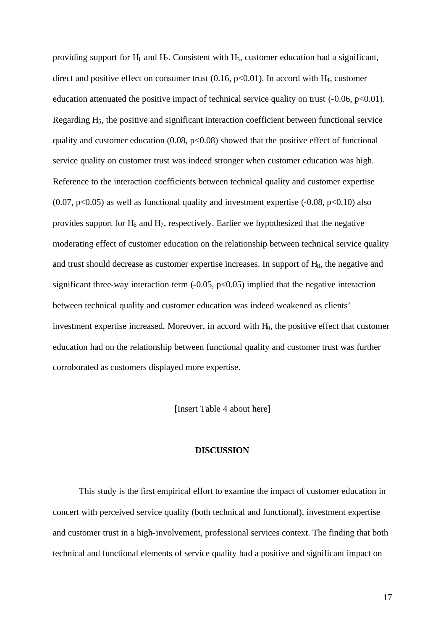providing support for  $H_1$  and  $H_2$ . Consistent with  $H_3$ , customer education had a significant, direct and positive effect on consumer trust  $(0.16, p<0.01)$ . In accord with H<sub>4</sub>, customer education attenuated the positive impact of technical service quality on trust  $(-0.06, p<0.01)$ . Regarding H<sub>5</sub>, the positive and significant interaction coefficient between functional service quality and customer education  $(0.08, p<0.08)$  showed that the positive effect of functional service quality on customer trust was indeed stronger when customer education was high. Reference to the interaction coefficients between technical quality and customer expertise  $(0.07, p<0.05)$  as well as functional quality and investment expertise  $(-0.08, p<0.10)$  also provides support for  $H_6$  and  $H_7$ , respectively. Earlier we hypothesized that the negative moderating effect of customer education on the relationship between technical service quality and trust should decrease as customer expertise increases. In support of  $H_8$ , the negative and significant three-way interaction term  $(-0.05, p<0.05)$  implied that the negative interaction between technical quality and customer education was indeed weakened as clients' investment expertise increased. Moreover, in accord with H9, the positive effect that customer education had on the relationship between functional quality and customer trust was further corroborated as customers displayed more expertise.

[Insert Table 4 about here]

#### **DISCUSSION**

This study is the first empirical effort to examine the impact of customer education in concert with perceived service quality (both technical and functional), investment expertise and customer trust in a high-involvement, professional services context. The finding that both technical and functional elements of service quality had a positive and significant impact on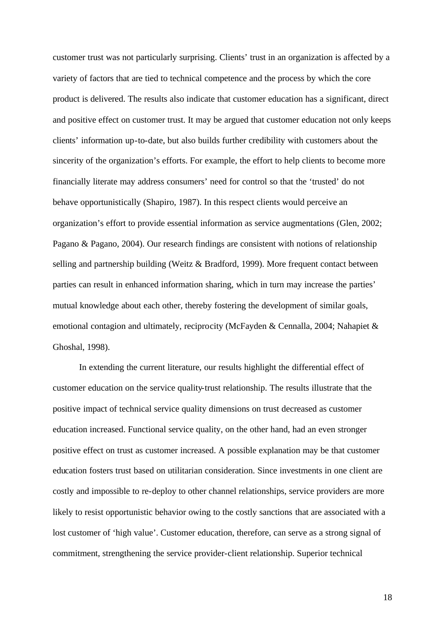customer trust was not particularly surprising. Clients' trust in an organization is affected by a variety of factors that are tied to technical competence and the process by which the core product is delivered. The results also indicate that customer education has a significant, direct and positive effect on customer trust. It may be argued that customer education not only keeps clients' information up-to-date, but also builds further credibility with customers about the sincerity of the organization's efforts. For example, the effort to help clients to become more financially literate may address consumers' need for control so that the 'trusted' do not behave opportunistically (Shapiro, 1987). In this respect clients would perceive an organization's effort to provide essential information as service augmentations (Glen, 2002; Pagano & Pagano, 2004). Our research findings are consistent with notions of relationship selling and partnership building (Weitz & Bradford, 1999). More frequent contact between parties can result in enhanced information sharing, which in turn may increase the parties' mutual knowledge about each other, thereby fostering the development of similar goals, emotional contagion and ultimately, reciprocity (McFayden & Cennalla, 2004; Nahapiet & Ghoshal, 1998).

In extending the current literature, our results highlight the differential effect of customer education on the service quality-trust relationship. The results illustrate that the positive impact of technical service quality dimensions on trust decreased as customer education increased. Functional service quality, on the other hand, had an even stronger positive effect on trust as customer increased. A possible explanation may be that customer education fosters trust based on utilitarian consideration. Since investments in one client are costly and impossible to re-deploy to other channel relationships, service providers are more likely to resist opportunistic behavior owing to the costly sanctions that are associated with a lost customer of 'high value'. Customer education, therefore, can serve as a strong signal of commitment, strengthening the service provider-client relationship. Superior technical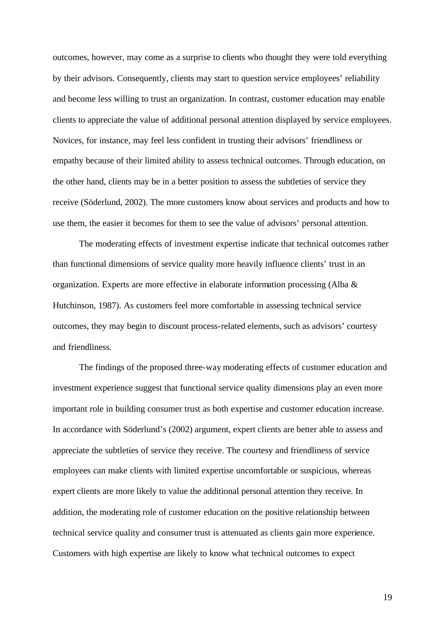outcomes, however, may come as a surprise to clients who thought they were told everything by their advisors. Consequently, clients may start to question service employees' reliability and become less willing to trust an organization. In contrast, customer education may enable clients to appreciate the value of additional personal attention displayed by service employees. Novices, for instance, may feel less confident in trusting their advisors' friendliness or empathy because of their limited ability to assess technical outcomes. Through education, on the other hand, clients may be in a better position to assess the subtleties of service they receive (Söderlund, 2002). The more customers know about services and products and how to use them, the easier it becomes for them to see the value of advisors' personal attention.

The moderating effects of investment expertise indicate that technical outcomes rather than functional dimensions of service quality more heavily influence clients' trust in an organization. Experts are more effective in elaborate information processing (Alba & Hutchinson, 1987). As customers feel more comfortable in assessing technical service outcomes, they may begin to discount process-related elements, such as advisors' courtesy and friendliness.

The findings of the proposed three-way moderating effects of customer education and investment experience suggest that functional service quality dimensions play an even more important role in building consumer trust as both expertise and customer education increase. In accordance with Söderlund's (2002) argument, expert clients are better able to assess and appreciate the subtleties of service they receive. The courtesy and friendliness of service employees can make clients with limited expertise uncomfortable or suspicious, whereas expert clients are more likely to value the additional personal attention they receive. In addition, the moderating role of customer education on the positive relationship between technical service quality and consumer trust is attenuated as clients gain more experience. Customers with high expertise are likely to know what technical outcomes to expect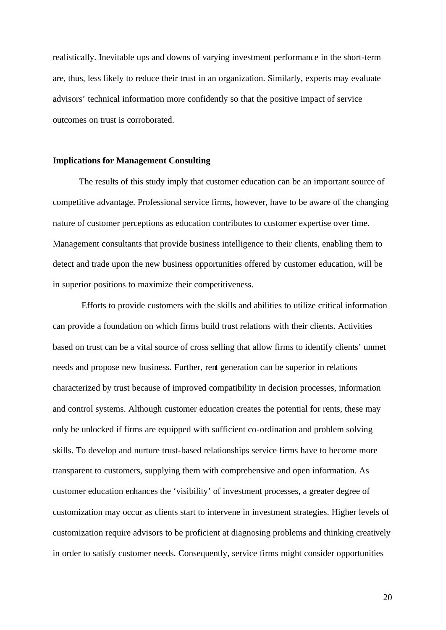realistically. Inevitable ups and downs of varying investment performance in the short-term are, thus, less likely to reduce their trust in an organization. Similarly, experts may evaluate advisors' technical information more confidently so that the positive impact of service outcomes on trust is corroborated.

#### **Implications for Management Consulting**

The results of this study imply that customer education can be an important source of competitive advantage. Professional service firms, however, have to be aware of the changing nature of customer perceptions as education contributes to customer expertise over time. Management consultants that provide business intelligence to their clients, enabling them to detect and trade upon the new business opportunities offered by customer education, will be in superior positions to maximize their competitiveness.

 Efforts to provide customers with the skills and abilities to utilize critical information can provide a foundation on which firms build trust relations with their clients. Activities based on trust can be a vital source of cross selling that allow firms to identify clients' unmet needs and propose new business. Further, rent generation can be superior in relations characterized by trust because of improved compatibility in decision processes, information and control systems. Although customer education creates the potential for rents, these may only be unlocked if firms are equipped with sufficient co-ordination and problem solving skills. To develop and nurture trust-based relationships service firms have to become more transparent to customers, supplying them with comprehensive and open information. As customer education enhances the 'visibility' of investment processes, a greater degree of customization may occur as clients start to intervene in investment strategies. Higher levels of customization require advisors to be proficient at diagnosing problems and thinking creatively in order to satisfy customer needs. Consequently, service firms might consider opportunities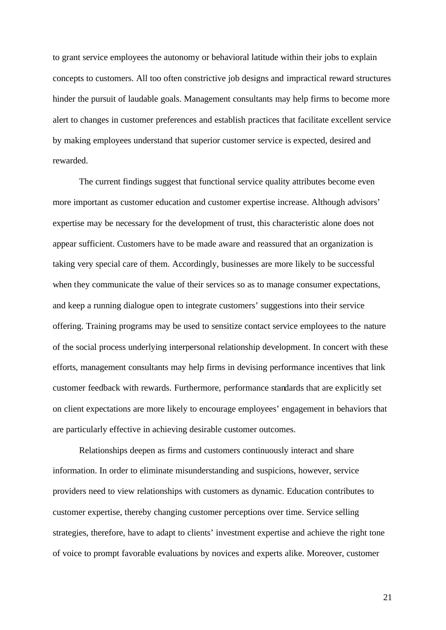to grant service employees the autonomy or behavioral latitude within their jobs to explain concepts to customers. All too often constrictive job designs and impractical reward structures hinder the pursuit of laudable goals. Management consultants may help firms to become more alert to changes in customer preferences and establish practices that facilitate excellent service by making employees understand that superior customer service is expected, desired and rewarded.

The current findings suggest that functional service quality attributes become even more important as customer education and customer expertise increase. Although advisors' expertise may be necessary for the development of trust, this characteristic alone does not appear sufficient. Customers have to be made aware and reassured that an organization is taking very special care of them. Accordingly, businesses are more likely to be successful when they communicate the value of their services so as to manage consumer expectations, and keep a running dialogue open to integrate customers' suggestions into their service offering. Training programs may be used to sensitize contact service employees to the nature of the social process underlying interpersonal relationship development. In concert with these efforts, management consultants may help firms in devising performance incentives that link customer feedback with rewards. Furthermore, performance standards that are explicitly set on client expectations are more likely to encourage employees' engagement in behaviors that are particularly effective in achieving desirable customer outcomes.

Relationships deepen as firms and customers continuously interact and share information. In order to eliminate misunderstanding and suspicions, however, service providers need to view relationships with customers as dynamic. Education contributes to customer expertise, thereby changing customer perceptions over time. Service selling strategies, therefore, have to adapt to clients' investment expertise and achieve the right tone of voice to prompt favorable evaluations by novices and experts alike. Moreover, customer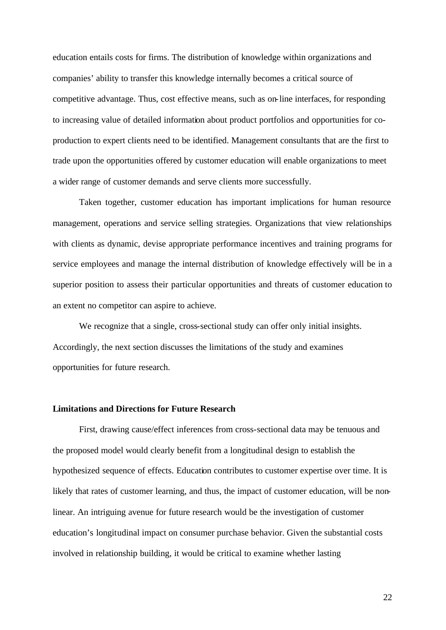education entails costs for firms. The distribution of knowledge within organizations and companies' ability to transfer this knowledge internally becomes a critical source of competitive advantage. Thus, cost effective means, such as on-line interfaces, for responding to increasing value of detailed information about product portfolios and opportunities for coproduction to expert clients need to be identified. Management consultants that are the first to trade upon the opportunities offered by customer education will enable organizations to meet a wider range of customer demands and serve clients more successfully.

Taken together, customer education has important implications for human resource management, operations and service selling strategies. Organizations that view relationships with clients as dynamic, devise appropriate performance incentives and training programs for service employees and manage the internal distribution of knowledge effectively will be in a superior position to assess their particular opportunities and threats of customer education to an extent no competitor can aspire to achieve.

We recognize that a single, cross-sectional study can offer only initial insights. Accordingly, the next section discusses the limitations of the study and examines opportunities for future research.

#### **Limitations and Directions for Future Research**

First, drawing cause/effect inferences from cross-sectional data may be tenuous and the proposed model would clearly benefit from a longitudinal design to establish the hypothesized sequence of effects. Education contributes to customer expertise over time. It is likely that rates of customer learning, and thus, the impact of customer education, will be nonlinear. An intriguing avenue for future research would be the investigation of customer education's longitudinal impact on consumer purchase behavior. Given the substantial costs involved in relationship building, it would be critical to examine whether lasting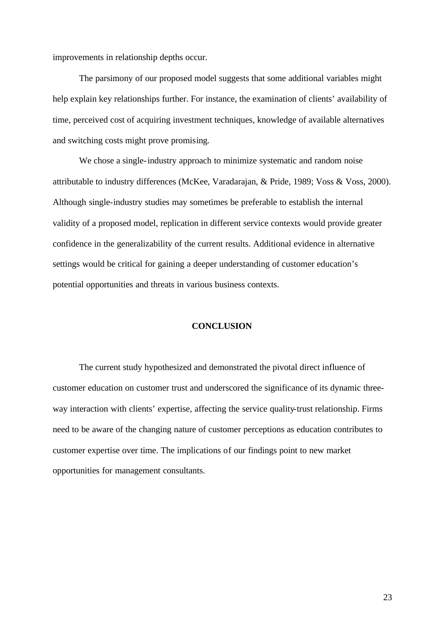improvements in relationship depths occur.

The parsimony of our proposed model suggests that some additional variables might help explain key relationships further. For instance, the examination of clients' availability of time, perceived cost of acquiring investment techniques, knowledge of available alternatives and switching costs might prove promising.

We chose a single-industry approach to minimize systematic and random noise attributable to industry differences (McKee, Varadarajan, & Pride, 1989; Voss & Voss, 2000). Although single-industry studies may sometimes be preferable to establish the internal validity of a proposed model, replication in different service contexts would provide greater confidence in the generalizability of the current results. Additional evidence in alternative settings would be critical for gaining a deeper understanding of customer education's potential opportunities and threats in various business contexts.

#### **CONCLUSION**

The current study hypothesized and demonstrated the pivotal direct influence of customer education on customer trust and underscored the significance of its dynamic threeway interaction with clients' expertise, affecting the service quality-trust relationship. Firms need to be aware of the changing nature of customer perceptions as education contributes to customer expertise over time. The implications of our findings point to new market opportunities for management consultants.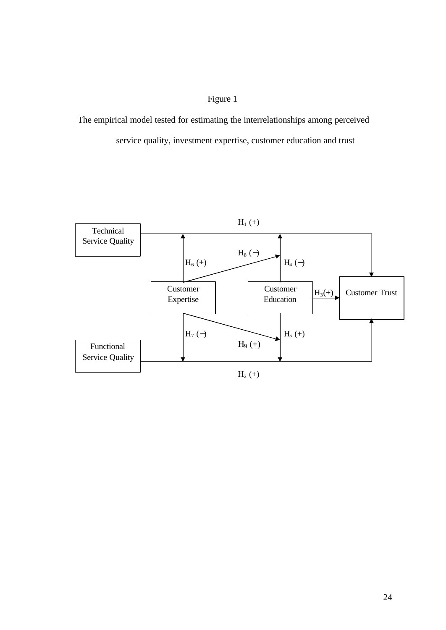## Figure 1

 The empirical model tested for estimating the interrelationships among perceived service quality, investment expertise, customer education and trust

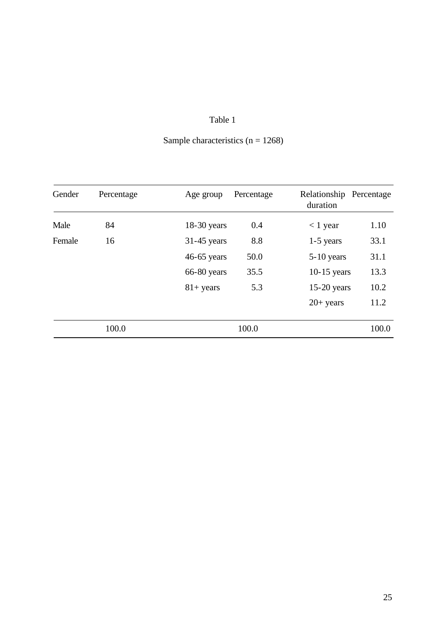| Sample characteristics $(n = 1268)$ |  |
|-------------------------------------|--|
|-------------------------------------|--|

| Gender | Percentage | Age group           | Percentage | Relationship Percentage<br>duration |       |
|--------|------------|---------------------|------------|-------------------------------------|-------|
| Male   | 84         | $18-30$ years       | 0.4        | $< 1$ year                          | 1.10  |
| Female | 16         | $31-45$ years       | 8.8        | $1-5$ years                         | 33.1  |
|        |            | $46-65$ years       | 50.0       | $5-10$ years                        | 31.1  |
|        |            | $66-80$ years       | 35.5       | $10-15$ years                       | 13.3  |
|        |            | $81 + \text{years}$ | 5.3        | $15-20$ years                       | 10.2  |
|        |            |                     |            | $20+$ years                         | 11.2  |
|        | 100.0      |                     | 100.0      |                                     | 100.0 |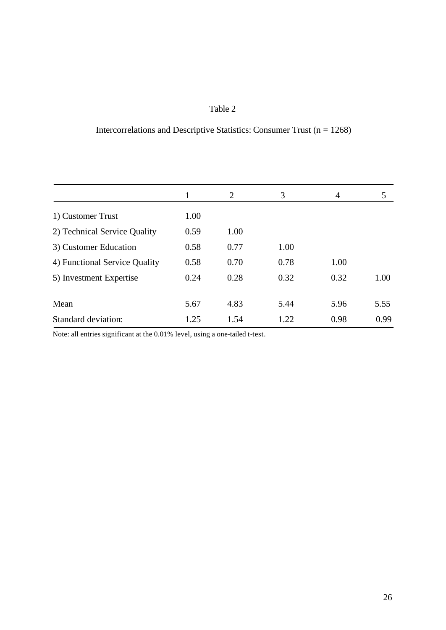# Intercorrelations and Descriptive Statistics: Consumer Trust ( $n = 1268$ )

| 1    | $\overline{2}$ | 3    | $\overline{4}$ | 5    |
|------|----------------|------|----------------|------|
| 1.00 |                |      |                |      |
| 0.59 | 1.00           |      |                |      |
| 0.58 | 0.77           | 1.00 |                |      |
| 0.58 | 0.70           | 0.78 | 1.00           |      |
| 0.24 | 0.28           | 0.32 | 0.32           | 1.00 |
|      |                |      |                | 5.55 |
| 1.25 | 1.54           | 1.22 | 0.98           | 0.99 |
|      | 5.67           | 4.83 | 5.44           | 5.96 |

Note: all entries significant at the 0.01% level, using a one-tailed t-test.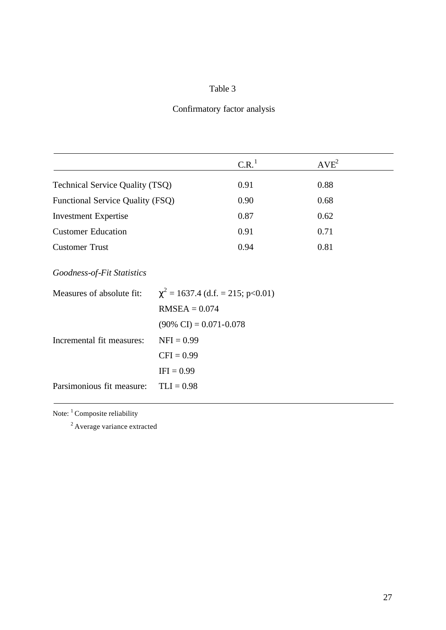# Confirmatory factor analysis

|                                        | C.R. <sup>1</sup> | $AVE^{2}$ |  |
|----------------------------------------|-------------------|-----------|--|
| <b>Technical Service Quality (TSQ)</b> | 0.91              | 0.88      |  |
| Functional Service Quality (FSQ)       | 0.90              | 0.68      |  |
| <b>Investment Expertise</b>            | 0.87              | 0.62      |  |
| <b>Customer Education</b>              | 0.91              | 0.71      |  |
| <b>Customer Trust</b>                  | 0.94              | 0.81      |  |

*Goodness-of-Fit Statistics*

| Measures of absolute fit: | $\chi^2$ = 1637.4 (d.f. = 215; p<0.01) |  |  |
|---------------------------|----------------------------------------|--|--|
|                           | $RMSEA = 0.074$                        |  |  |
|                           | $(90\% \text{ CI}) = 0.071 - 0.078$    |  |  |
| Incremental fit measures: | $NFI = 0.99$                           |  |  |
|                           | $CFI = 0.99$                           |  |  |
|                           | $IFI = 0.99$                           |  |  |
| Parsimonious fit measure: | $TLI = 0.98$                           |  |  |

Note:  $\footnotesize\phantom{a}^1$  Composite reliability

<sup>2</sup> Average variance extracted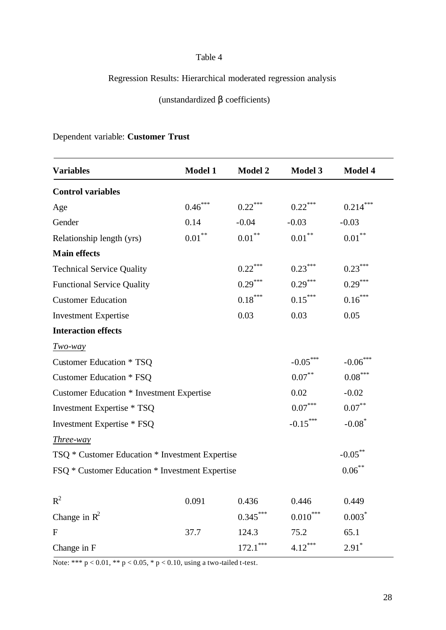# Regression Results: Hierarchical moderated regression analysis

(unstandardized β coefficients)

# Dependent variable: **Customer Trust**

| <b>Variables</b>                                              | <b>Model 1</b>    | <b>Model 2</b>        | <b>Model 3</b>         | <b>Model 4</b>        |
|---------------------------------------------------------------|-------------------|-----------------------|------------------------|-----------------------|
| <b>Control variables</b>                                      |                   |                       |                        |                       |
| Age                                                           | $0.46***$         | $0.22***$             | $0.22***$              | $0.214***$            |
| Gender                                                        | 0.14              | $-0.04$               | $-0.03$                | $-0.03$               |
| Relationship length (yrs)                                     | $0.01^{\ast\ast}$ | $0.01***$             | $0.01^{\ast\ast}$      | $0.01^{\ast\ast}$     |
| <b>Main effects</b>                                           |                   |                       |                        |                       |
| <b>Technical Service Quality</b>                              |                   | $0.22***$             | $0.23***$              | $0.23***$             |
| <b>Functional Service Quality</b>                             |                   | $0.29***$             | $0.29***$              | $0.29***$             |
| <b>Customer Education</b>                                     |                   | $0.18^{\ast\ast\ast}$ | $0.15***$              | $0.16***$             |
| <b>Investment Expertise</b>                                   |                   | 0.03                  | 0.03                   | 0.05                  |
| <b>Interaction effects</b>                                    |                   |                       |                        |                       |
| $Two$ way                                                     |                   |                       |                        |                       |
| <b>Customer Education * TSQ</b>                               |                   |                       | $-0.05***$             | $-0.06***$            |
| <b>Customer Education * FSQ</b>                               |                   |                       | $0.07***$              | $0.08^{\ast\ast\ast}$ |
| <b>Customer Education * Investment Expertise</b>              |                   |                       | 0.02                   | $-0.02$               |
| Investment Expertise * TSQ                                    |                   |                       | $0.07^{\ast\ast\ast}$  | $0.07***$             |
| Investment Expertise * FSQ                                    |                   |                       | $-0.15***$             | $-0.08*$              |
| <i>Three-way</i>                                              |                   |                       |                        |                       |
| $-0.05***$<br>TSQ * Customer Education * Investment Expertise |                   |                       |                        |                       |
| FSQ * Customer Education * Investment Expertise               |                   |                       |                        | $0.06***$             |
| $R^2$                                                         | 0.091             | 0.436                 | 0.446                  | 0.449                 |
| Change in $\mathbb{R}^2$                                      |                   | $0.345***$            | $0.010^{\ast\ast\ast}$ | $0.003*$              |
| $\mathbf F$                                                   | 37.7              | 124.3                 | 75.2                   | 65.1                  |
|                                                               |                   |                       | $4.12***$              |                       |
| Change in F                                                   |                   | $172.1***$            |                        | $2.91*$               |

Note: \*\*\*  $p < 0.01$ , \*\*  $p < 0.05$ , \*  $p < 0.10$ , using a two-tailed t-test.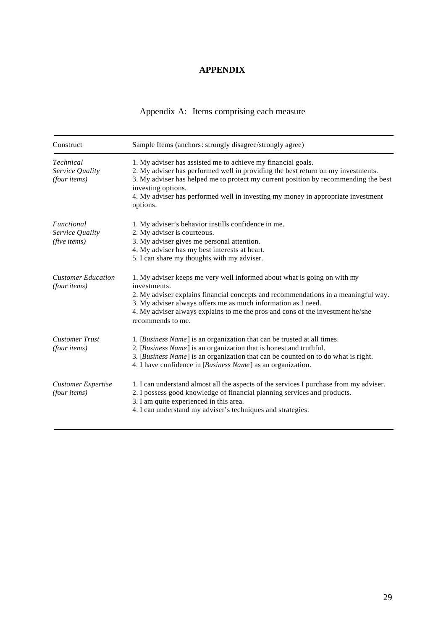## **APPENDIX**

| Appendix A: Items comprising each measure |  |
|-------------------------------------------|--|
|                                           |  |

| Construct                                           | Sample Items (anchors: strongly disagree/strongly agree)                                                                                                                                                                                                                                                                                                      |  |  |
|-----------------------------------------------------|---------------------------------------------------------------------------------------------------------------------------------------------------------------------------------------------------------------------------------------------------------------------------------------------------------------------------------------------------------------|--|--|
| <b>Technical</b><br>Service Quality<br>(four items) | 1. My adviser has assisted me to achieve my financial goals.<br>2. My adviser has performed well in providing the best return on my investments.<br>3. My adviser has helped me to protect my current position by recommending the best<br>investing options.<br>4. My adviser has performed well in investing my money in appropriate investment<br>options. |  |  |
| Functional<br>Service Quality<br>(five items)       | 1. My adviser's behavior instills confidence in me.<br>2. My adviser is courteous.<br>3. My adviser gives me personal attention.<br>4. My adviser has my best interests at heart.<br>5. I can share my thoughts with my adviser.                                                                                                                              |  |  |
| <b>Customer Education</b><br>(four items)           | 1. My adviser keeps me very well informed about what is going on with my<br>investments.<br>2. My adviser explains financial concepts and recommendations in a meaningful way.<br>3. My adviser always offers me as much information as I need.<br>4. My adviser always explains to me the pros and cons of the investment he/she<br>recommends to me.        |  |  |
| <b>Customer Trust</b><br>(four items)               | 1. [Business Name] is an organization that can be trusted at all times.<br>2. [Business Name] is an organization that is honest and truthful.<br>3. [Business Name] is an organization that can be counted on to do what is right.<br>4. I have confidence in [Business Name] as an organization.                                                             |  |  |
| <b>Customer Expertise</b><br>(four items)           | 1. I can understand almost all the aspects of the services I purchase from my adviser.<br>2. I possess good knowledge of financial planning services and products.<br>3. I am quite experienced in this area.<br>4. I can understand my adviser's techniques and strategies.                                                                                  |  |  |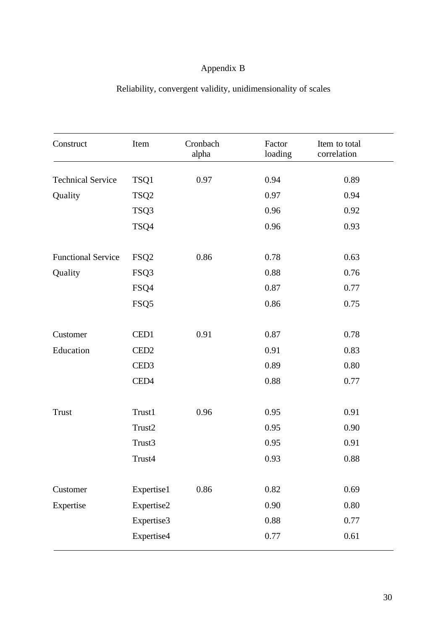# Appendix B

| Construct                 | Item             | Cronbach<br>alpha | Factor<br>loading | Item to total<br>correlation |
|---------------------------|------------------|-------------------|-------------------|------------------------------|
| <b>Technical Service</b>  | TSQ1             | 0.97              | 0.94              | 0.89                         |
| Quality                   | TSQ <sub>2</sub> |                   | 0.97              | 0.94                         |
|                           | TSQ3             |                   | 0.96              | 0.92                         |
|                           | TSQ4             |                   | 0.96              | 0.93                         |
| <b>Functional Service</b> | FSQ <sub>2</sub> | 0.86              | 0.78              | 0.63                         |
| Quality                   | FSQ3             |                   | 0.88              | 0.76                         |
|                           | FSQ4             |                   | 0.87              | 0.77                         |
|                           | FSQ5             |                   | 0.86              | 0.75                         |
| Customer                  | CED1             | 0.91              | 0.87              | 0.78                         |
| Education                 | CED <sub>2</sub> |                   | 0.91              | 0.83                         |
|                           | CED <sub>3</sub> |                   | 0.89              | 0.80                         |
|                           | CED <sub>4</sub> |                   | 0.88              | 0.77                         |
| <b>Trust</b>              | Trust1           | 0.96              | 0.95              | 0.91                         |
|                           | Trust2           |                   | 0.95              | 0.90                         |
|                           | Trust3           |                   | 0.95              | 0.91                         |
|                           | Trust4           |                   | 0.93              | 0.88                         |
| Customer                  | Expertise1       | 0.86              | 0.82              | 0.69                         |
| Expertise                 | Expertise2       |                   | 0.90              | 0.80                         |
|                           | Expertise3       |                   | 0.88              | 0.77                         |
|                           | Expertise4       |                   | 0.77              | 0.61                         |
|                           |                  |                   |                   |                              |

# Reliability, convergent validity, unidimensionality of scales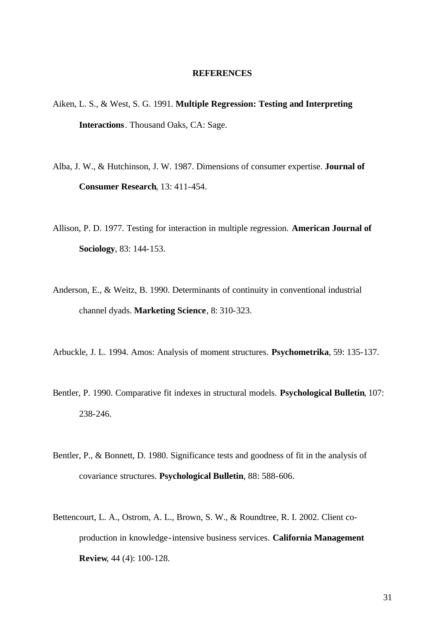#### **REFERENCES**

- Aiken, L. S., & West, S. G. 1991. **Multiple Regression: Testing and Interpreting Interactions**. Thousand Oaks, CA: Sage.
- Alba, J. W., & Hutchinson, J. W. 1987. Dimensions of consumer expertise. **Journal of Consumer Research**, 13: 411-454.
- Allison, P. D. 1977. Testing for interaction in multiple regression. **American Journal of Sociology**, 83: 144-153.
- Anderson, E., & Weitz, B. 1990. Determinants of continuity in conventional industrial channel dyads. **Marketing Science**, 8: 310-323.
- Arbuckle, J. L. 1994. Amos: Analysis of moment structures. **Psychometrika**, 59: 135-137.
- Bentler, P. 1990. Comparative fit indexes in structural models. **Psychological Bulletin**, 107: 238-246.
- Bentler, P., & Bonnett, D. 1980. Significance tests and goodness of fit in the analysis of covariance structures. **Psychological Bulletin**, 88: 588-606.
- Bettencourt, L. A., Ostrom, A. L., Brown, S. W., & Roundtree, R. I. 2002. Client coproduction in knowledge-intensive business services. **California Management Review**, 44 (4): 100-128.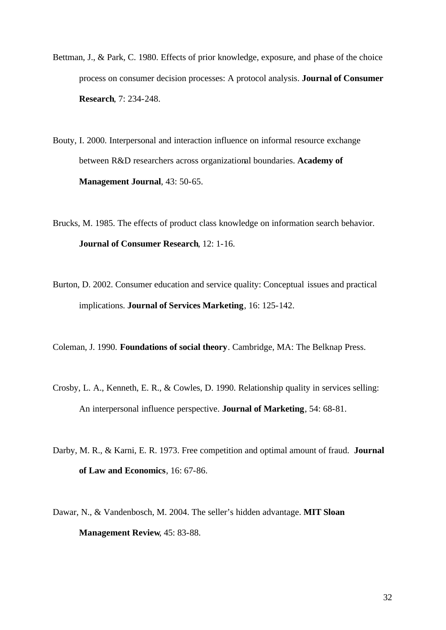Bettman, J., & Park, C. 1980. Effects of prior knowledge, exposure, and phase of the choice process on consumer decision processes: A protocol analysis. **Journal of Consumer Research**, 7: 234-248.

Bouty, I. 2000. Interpersonal and interaction influence on informal resource exchange between R&D researchers across organizational boundaries. **Academy of Management Journal**, 43: 50-65.

- Brucks, M. 1985. The effects of product class knowledge on information search behavior. **Journal of Consumer Research**, 12: 1-16.
- Burton, D. 2002. Consumer education and service quality: Conceptual issues and practical implications. **Journal of Services Marketing**, 16: 125-142.

Coleman, J. 1990. **Foundations of social theory**. Cambridge, MA: The Belknap Press.

- Crosby, L. A., Kenneth, E. R., & Cowles, D. 1990. Relationship quality in services selling: An interpersonal influence perspective. **Journal of Marketing**, 54: 68-81.
- Darby, M. R., & Karni, E. R. 1973. Free competition and optimal amount of fraud. **Journal of Law and Economics**, 16: 67-86.
- Dawar, N., & Vandenbosch, M. 2004. The seller's hidden advantage. **MIT Sloan Management Review**, 45: 83-88.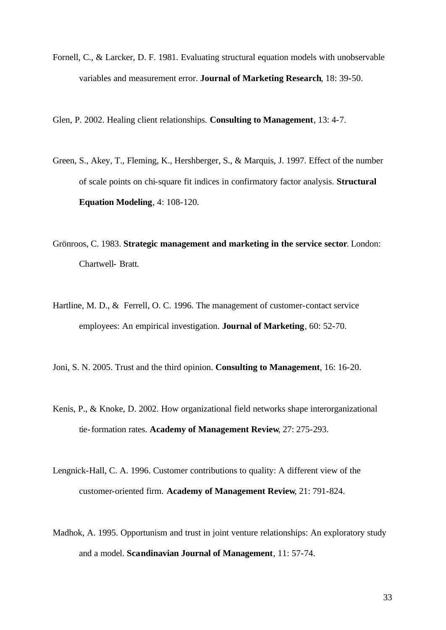Fornell, C., & Larcker, D. F. 1981. Evaluating structural equation models with unobservable variables and measurement error. **Journal of Marketing Research**, 18: 39-50.

Glen, P. 2002. Healing client relationships. **Consulting to Management**, 13: 4-7.

- Green, S., Akey, T., Fleming, K., Hershberger, S., & Marquis, J. 1997. Effect of the number of scale points on chi-square fit indices in confirmatory factor analysis. **Structural Equation Modeling**, 4: 108-120.
- Grönroos, C. 1983. **Strategic management and marketing in the service sector**. London: Chartwell- Bratt.
- Hartline, M. D., & Ferrell, O. C. 1996. The management of customer-contact service employees: An empirical investigation. **Journal of Marketing**, 60: 52-70.
- Joni, S. N. 2005. Trust and the third opinion. **Consulting to Management**, 16: 16-20.
- Kenis, P., & Knoke, D. 2002. How organizational field networks shape interorganizational tie-formation rates. **Academy of Management Review**, 27: 275-293.
- Lengnick-Hall, C. A. 1996. Customer contributions to quality: A different view of the customer-oriented firm. **Academy of Management Review**, 21: 791-824.
- Madhok, A. 1995. Opportunism and trust in joint venture relationships: An exploratory study and a model. **Scandinavian Journal of Management**, 11: 57-74.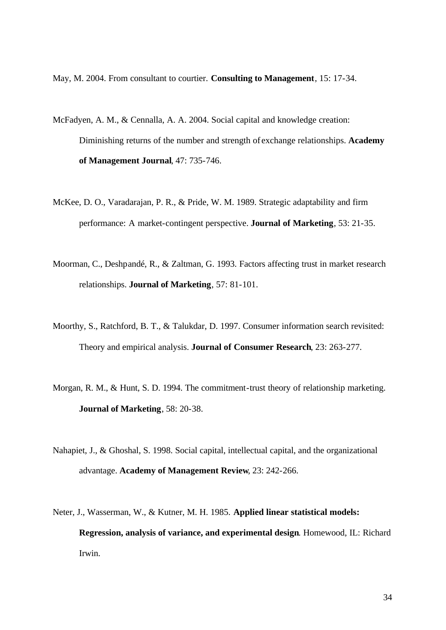May, M. 2004. From consultant to courtier. **Consulting to Management**, 15: 17-34.

- McFadyen, A. M., & Cennalla, A. A. 2004. Social capital and knowledge creation: Diminishing returns of the number and strength of exchange relationships. **Academy of Management Journal**, 47: 735-746.
- McKee, D. O., Varadarajan, P. R., & Pride, W. M. 1989. Strategic adaptability and firm performance: A market-contingent perspective. **Journal of Marketing**, 53: 21-35.
- Moorman, C., Deshpandé, R., & Zaltman, G. 1993. Factors affecting trust in market research relationships. **Journal of Marketing**, 57: 81-101.
- Moorthy, S., Ratchford, B. T., & Talukdar, D. 1997. Consumer information search revisited: Theory and empirical analysis. **Journal of Consumer Research**, 23: 263-277.
- Morgan, R. M., & Hunt, S. D. 1994. The commitment-trust theory of relationship marketing. **Journal of Marketing**, 58: 20-38.
- Nahapiet, J., & Ghoshal, S. 1998. Social capital, intellectual capital, and the organizational advantage. **Academy of Management Review**, 23: 242-266.
- Neter, J., Wasserman, W., & Kutner, M. H. 1985. **Applied linear statistical models: Regression, analysis of variance, and experimental design**. Homewood, IL: Richard Irwin.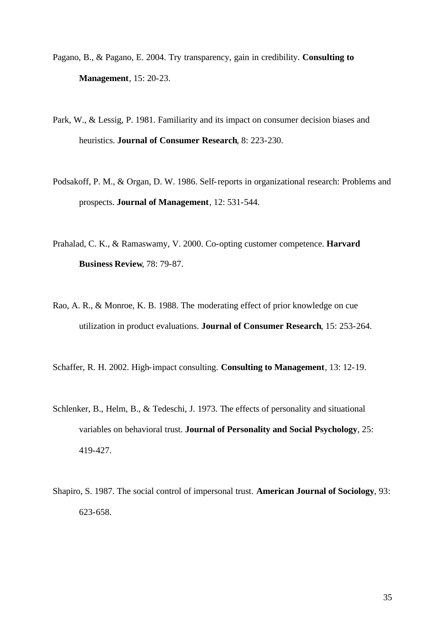- Pagano, B., & Pagano, E. 2004. Try transparency, gain in credibility. **Consulting to Management**, 15: 20-23.
- Park, W., & Lessig, P. 1981. Familiarity and its impact on consumer decision biases and heuristics. **Journal of Consumer Research**, 8: 223-230.
- Podsakoff, P. M., & Organ, D. W. 1986. Self-reports in organizational research: Problems and prospects. **Journal of Management**, 12: 531-544.
- Prahalad, C. K., & Ramaswamy, V. 2000. Co-opting customer competence. **Harvard Business Review**, 78: 79-87.
- Rao, A. R., & Monroe, K. B. 1988. The moderating effect of prior knowledge on cue utilization in product evaluations. **Journal of Consumer Research**, 15: 253-264.
- Schaffer, R. H. 2002. High-impact consulting. **Consulting to Management**, 13: 12-19.
- Schlenker, B., Helm, B., & Tedeschi, J. 1973. The effects of personality and situational variables on behavioral trust. **Journal of Personality and Social Psychology**, 25: 419-427.
- Shapiro, S. 1987. The social control of impersonal trust. **American Journal of Sociology**, 93: 623-658.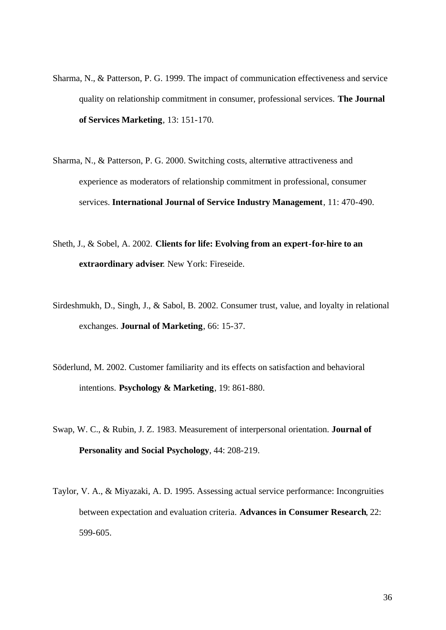- Sharma, N., & Patterson, P. G. 1999. The impact of communication effectiveness and service quality on relationship commitment in consumer, professional services. **The Journal of Services Marketing**, 13: 151-170.
- Sharma, N., & Patterson, P. G. 2000. Switching costs, alternative attractiveness and experience as moderators of relationship commitment in professional, consumer services. **International Journal of Service Industry Management**, 11: 470-490.
- Sheth, J., & Sobel, A. 2002. **Clients for life: Evolving from an expert-for-hire to an extraordinary adviser**. New York: Fireseide.
- Sirdeshmukh, D., Singh, J., & Sabol, B. 2002. Consumer trust, value, and loyalty in relational exchanges. **Journal of Marketing**, 66: 15-37.
- Söderlund, M. 2002. Customer familiarity and its effects on satisfaction and behavioral intentions. **Psychology & Marketing**, 19: 861-880.
- Swap, W. C., & Rubin, J. Z. 1983. Measurement of interpersonal orientation. **Journal of Personality and Social Psychology**, 44: 208-219.
- Taylor, V. A., & Miyazaki, A. D. 1995. Assessing actual service performance: Incongruities between expectation and evaluation criteria. **Advances in Consumer Research**, 22: 599-605.